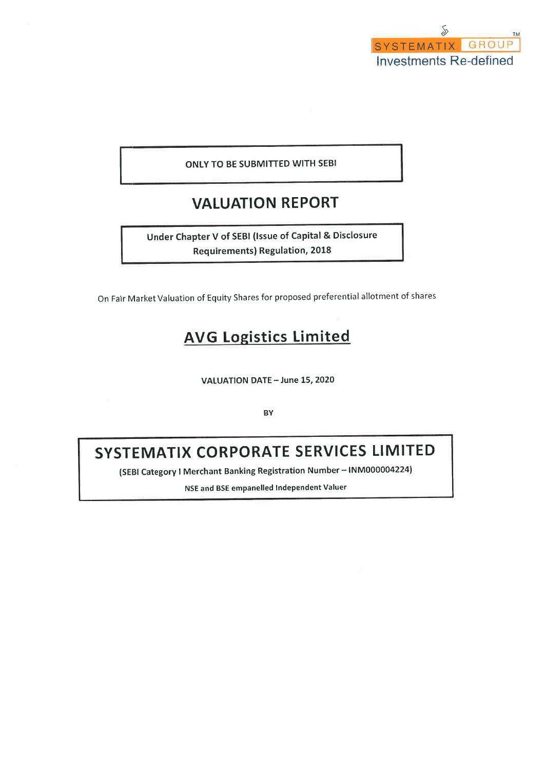

# ONLY TO BE SUBMITTED WITH SEBI

# **VALUATION REPORT**

Under Chapter V of SEBI (Issue of Capital & Disclosure **Requirements) Regulation, 2018** 

On Fair Market Valuation of Equity Shares for proposed preferential allotment of shares

# **AVG Logistics Limited**

VALUATION DATE - June 15, 2020

**BY** 

# SYSTEMATIX CORPORATE SERVICES LIMITED

(SEBI Category I Merchant Banking Registration Number - INM000004224)

NSE and BSE empanelled Independent Valuer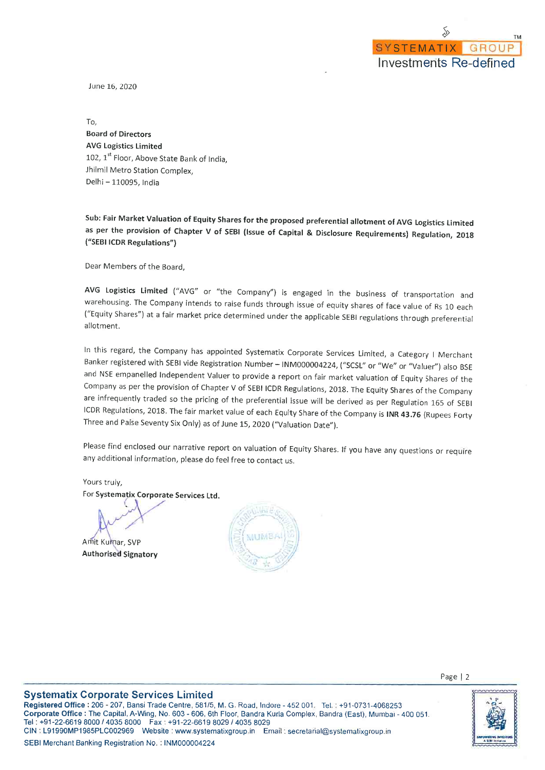June 16, 2020

To, **Board of Directors AVG Logistics Limited** 102, 1st Floor, Above State Bank of India, Jhilmil Metro Station Complex, Delhi - 110095, India

Sub: Fair Market Valuation of Equity Shares for the proposed preferential allotment of AVG Logistics Limited as per the provision of Chapter V of SEBI (Issue of Capital & Disclosure Requirements) Regulation, 2018 ("SEBI ICDR Regulations")

Dear Members of the Board,

AVG Logistics Limited ("AVG" or "the Company") is engaged in the business of transportation and warehousing. The Company intends to raise funds through issue of equity shares of face value of Rs 10 each ("Equity Shares") at a fair market price determined under the applicable SEBI regulations through preferential allotment.

In this regard, the Company has appointed Systematix Corporate Services Limited, a Category I Merchant Banker registered with SEBI vide Registration Number - INM000004224, ("SCSL" or "We" or "Valuer") also BSE and NSE empanelled Independent Valuer to provide a report on fair market valuation of Equity Shares of the Company as per the provision of Chapter V of SEBI ICDR Regulations, 2018. The Equity Shares of the Company are infrequently traded so the pricing of the preferential issue will be derived as per Regulation 165 of SEBI ICDR Regulations, 2018. The fair market value of each Equity Share of the Company is INR 43.76 (Rupees Forty Three and Paise Seventy Six Only) as of June 15, 2020 ("Valuation Date").

Please find enclosed our narrative report on valuation of Equity Shares. If you have any questions or require any additional information, please do feel free to contact us.

Yours truly, For Systematix Corporate Services Ltd.

Amit Kumar, SVP **Authorised Signatory** 





### **Systematix Corporate Services Limited**

Registered Office: 206 - 207, Bansi Trade Centre, 581/5, M. G. Road, Indore - 452 001, Tel.: +91-0731-4068253 Corporate Office : The Capital, A-Wing, No. 603 - 606, 6th Floor, Bandra Kurla Complex, Bandra (East), Mumbai - 400 051. Tel: +91-22-6619 8000 / 4035 8000 Fax: +91-22-6619 8029 / 4035 8029 CIN: L91990MP1985PLC002969 Website: www.systematixgroup.in Email: secretarial@systematixgroup.in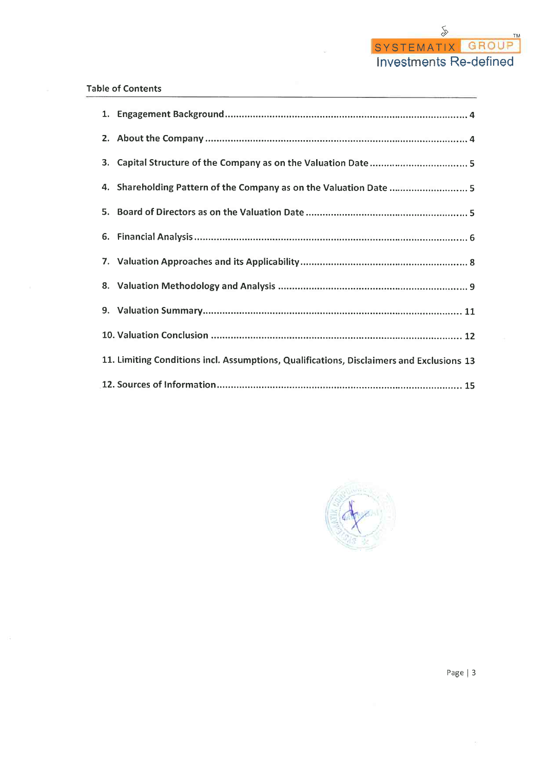# **Table of Contents**

| 3. |                                                                                          |
|----|------------------------------------------------------------------------------------------|
|    | 4. Shareholding Pattern of the Company as on the Valuation Date  5                       |
|    |                                                                                          |
|    |                                                                                          |
|    |                                                                                          |
|    |                                                                                          |
|    |                                                                                          |
|    |                                                                                          |
|    | 11. Limiting Conditions incl. Assumptions, Qualifications, Disclaimers and Exclusions 13 |
|    |                                                                                          |

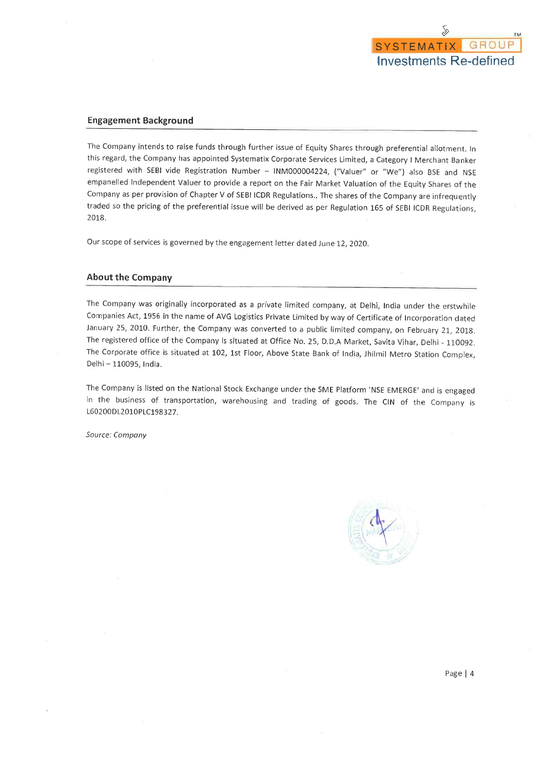

#### **Engagement Background**

The Company intends to raise funds through further issue of Equity Shares through preferential allotment. In this regard, the Company has appointed Systematix Corporate Services Limited, a Category I Merchant Banker registered with SEBI vide Registration Number - INM000004224, ("Valuer" or "We") also BSE and NSE empanelled Independent Valuer to provide a report on the Fair Market Valuation of the Equity Shares of the Company as per provision of Chapter V of SEBI ICDR Regulations.. The shares of the Company are infrequently traded so the pricing of the preferential issue will be derived as per Regulation 165 of SEBI ICDR Regulations, 2018.

Our scope of services is governed by the engagement letter dated June 12, 2020.

#### **About the Company**

The Company was originally incorporated as a private limited company, at Delhi, India under the erstwhile Companies Act, 1956 in the name of AVG Logistics Private Limited by way of Certificate of Incorporation dated January 25, 2010. Further, the Company was converted to a public limited company, on February 21, 2018. The registered office of the Company is situated at Office No. 25, D.D.A Market, Savita Vihar, Delhi - 110092. The Corporate office is situated at 102, 1st Floor, Above State Bank of India, Jhilmil Metro Station Complex, Delhi - 110095, India.

The Company is listed on the National Stock Exchange under the SME Platform 'NSE EMERGE' and is engaged in the business of transportation, warehousing and trading of goods. The CIN of the Company is L60200DL2010PLC198327.

Source: Company

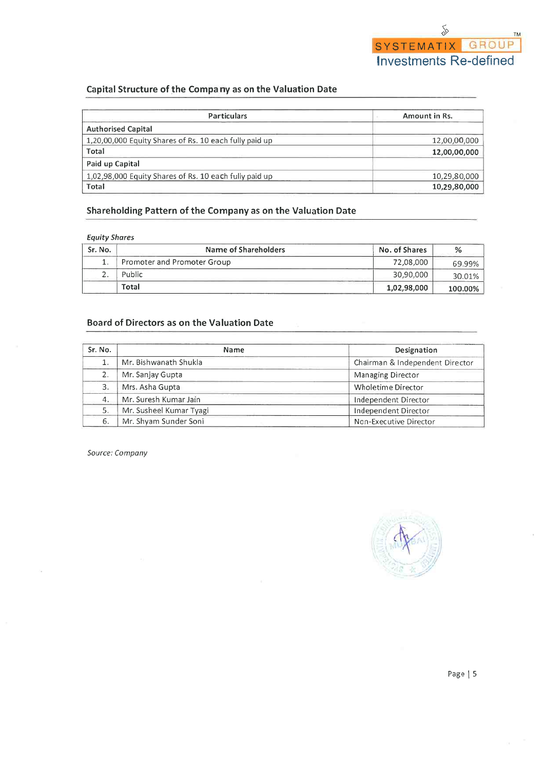# Capital Structure of the Company as on the Valuation Date

| <b>Particulars</b>                                     | Amount in Rs. |
|--------------------------------------------------------|---------------|
| <b>Authorised Capital</b>                              |               |
| 1,20,00,000 Equity Shares of Rs. 10 each fully paid up | 12,00,00,000  |
| Total                                                  | 12,00,00,000  |
| Paid up Capital                                        |               |
| 1,02,98,000 Equity Shares of Rs. 10 each fully paid up | 10,29,80,000  |
| Total                                                  | 10,29,80,000  |

# Shareholding Pattern of the Company as on the Valuation Date

### **Equity Shares**

| Sr. No.  | Name of Shareholders        | No. of Shares |         |  |  |
|----------|-----------------------------|---------------|---------|--|--|
|          | Promoter and Promoter Group | 72,08,000     | 69.99%  |  |  |
| <u>.</u> | Public                      | 30,90,000     | 30.01%  |  |  |
|          | Total                       | 1,02,98,000   | 100.00% |  |  |

## **Board of Directors as on the Valuation Date**

| Sr. No. | <b>Name</b>             | Designation                     |  |  |  |
|---------|-------------------------|---------------------------------|--|--|--|
|         | Mr. Bishwanath Shukla   | Chairman & Independent Director |  |  |  |
|         | Mr. Sanjay Gupta        | Managing Director               |  |  |  |
| 3.      | Mrs. Asha Gupta         | <b>Wholetime Director</b>       |  |  |  |
| 4.      | Mr. Suresh Kumar Jain   | Independent Director            |  |  |  |
| 5.      | Mr. Susheel Kumar Tyagi | Independent Director            |  |  |  |
| 6.      | Mr. Shyam Sunder Soni   | Non-Executive Director          |  |  |  |

Source: Company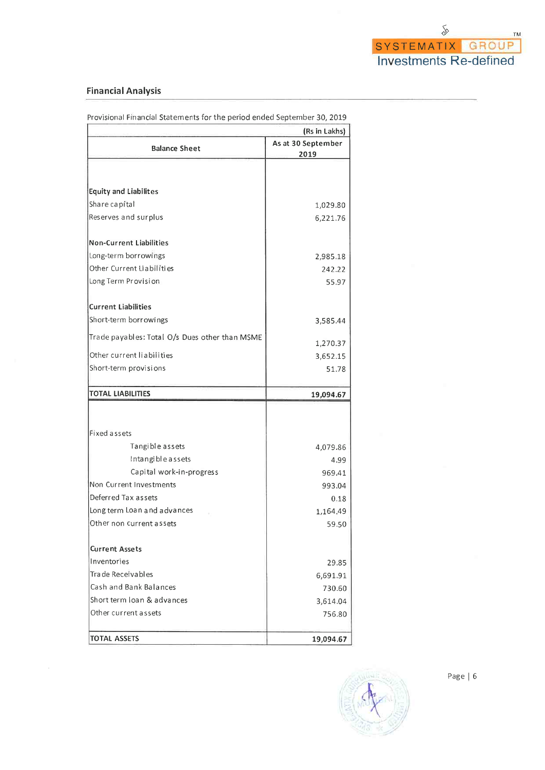# **Financial Analysis**

|                                                | (Rs in Lakhs)              |
|------------------------------------------------|----------------------------|
| <b>Balance Sheet</b>                           | As at 30 September<br>2019 |
|                                                |                            |
| <b>Equity and Liabilites</b>                   |                            |
| Share capital                                  | 1,029.80                   |
| Reserves and surplus                           | 6,221.76                   |
| <b>Non-Current Liabilities</b>                 |                            |
| Long-term borrowings                           | 2,985.18                   |
| Other Current Liabilities                      | 242.22                     |
| Long Term Provision                            | 55.97                      |
| <b>Current Liabilities</b>                     |                            |
| Short-term borrowings                          | 3,585.44                   |
| Trade payables: Total O/s Dues other than MSME | 1,270.37                   |
| Other current liabilities                      | 3,652.15                   |
| Short-term provisions                          | 51.78                      |
| <b>TOTAL LIABILITIES</b>                       |                            |
|                                                | 19,094.67                  |
|                                                |                            |
| Fixed assets                                   |                            |
| Tangible assets                                | 4,079.86                   |
| Intangible assets                              | 4.99                       |
| Capital work-in-progress                       | 969.41                     |
| Non Current Investments                        | 993.04                     |
| Deferred Tax assets                            | 0.18                       |
| Long term Loan and advances                    | 1,164.49                   |
| Other non current assets                       | 59.50                      |
| <b>Current Assets</b>                          |                            |
| Inventories                                    | 29.85                      |
| Trade Receivables                              | 6,691.91                   |
| Cash and Bank Balances                         | 730.60                     |
| Short term loan & advances                     | 3,614.04                   |
| Other current assets                           | 756.80                     |
| <b>TOTAL ASSETS</b>                            | 19,094.67                  |

Provisional Financial Statements for the period ended September 30, 2019

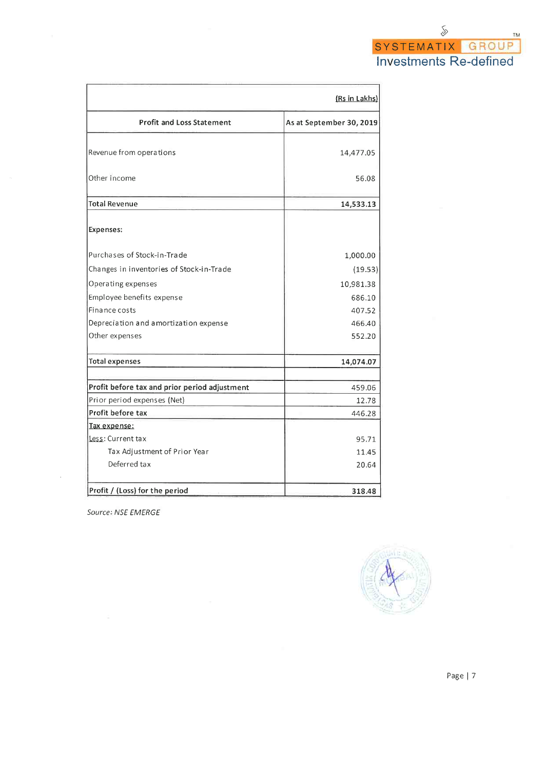|                                               | (Rs in Lakhs)            |
|-----------------------------------------------|--------------------------|
| <b>Profit and Loss Statement</b>              | As at September 30, 2019 |
| Revenue from operations                       | 14,477.05                |
| Other Income                                  | 56.08                    |
| <b>Total Revenue</b>                          | 14,533.13                |
| Expenses:                                     |                          |
| Purchases of Stock-in-Trade                   | 1,000.00                 |
| Changes in inventories of Stock-in-Trade      | (19.53)                  |
| Operating expenses                            | 10,981.38                |
| Employee benefits expense                     | 686.10                   |
| Finance costs                                 | 407.52                   |
| Depreciation and amortization expense         | 466.40                   |
| Other expenses                                | 552.20                   |
| <b>Total expenses</b>                         | 14,074.07                |
| Profit before tax and prior period adjustment | 459.06                   |
| Prior period expenses (Net)                   | 12.78                    |
| Profit before tax                             | 446.28                   |
| Tax expense:                                  |                          |
| Less: Current tax                             | 95.71                    |
| Tax Adjustment of Prior Year                  | 11.45                    |
| Deferred tax                                  | 20.64                    |
| Profit / (Loss) for the period                | 318.48                   |

Source: NSE EMERGE

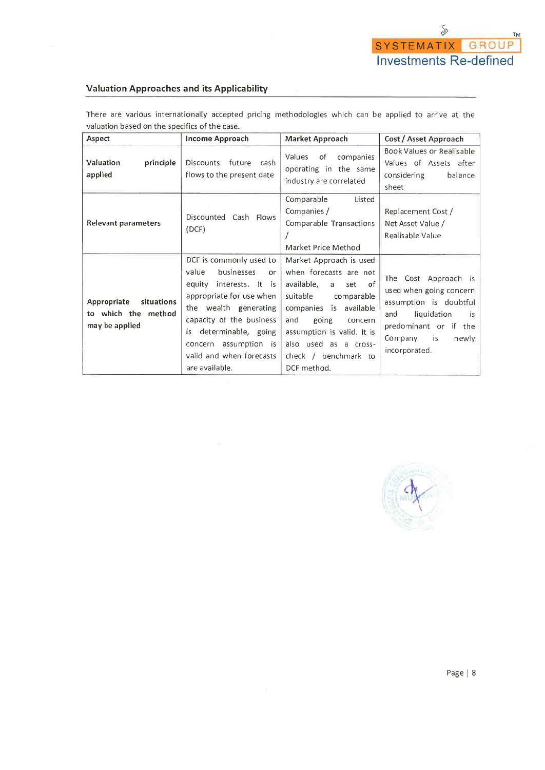### **Valuation Approaches and its Applicability**

There are various internationally accepted pricing methodologies which can be applied to arrive at the valuation based on the specifics of the case.

| Aspect                                                             | <b>Income Approach</b>                                                                                                                                                                                                                                            | Market Approach                                                                                                                                                                                                                                              | Cost / Asset Approach                                                                                                                                                  |
|--------------------------------------------------------------------|-------------------------------------------------------------------------------------------------------------------------------------------------------------------------------------------------------------------------------------------------------------------|--------------------------------------------------------------------------------------------------------------------------------------------------------------------------------------------------------------------------------------------------------------|------------------------------------------------------------------------------------------------------------------------------------------------------------------------|
| Valuation<br>principle<br>applied                                  | Discounts future cash<br>flows to the present date                                                                                                                                                                                                                | Values<br>of<br>companies<br>operating in the same<br>industry are correlated                                                                                                                                                                                | Book Values or Realisable<br>Values of Assets after<br>considering<br>balance<br>sheet                                                                                 |
| <b>Relevant parameters</b>                                         | Discounted<br>Cash Flows<br>(DCF)                                                                                                                                                                                                                                 | Comparable<br>Listed<br>Companies /<br>Comparable Transactions<br>Market Price Method                                                                                                                                                                        | Replacement Cost /<br>Net Asset Value /<br>Realisable Value                                                                                                            |
| situations<br>Appropriate<br>to which the method<br>may be applied | DCF is commonly used to<br>value<br>businesses<br>or<br>equity interests. It is<br>appropriate for use when<br>the wealth generating<br>capacity of the business<br>is determinable, going<br>concern assumption is<br>valid and when forecasts<br>are available. | Market Approach is used<br>when forecasts are not<br>available,<br>set of<br>a.<br>suitable<br>comparable<br>companies is available<br>and<br>going<br>concern<br>assumption is valid. It is<br>also used as a cross-<br>check / benchmark to<br>DCF method. | The Cost Approach is<br>used when going concern<br>assumption is doubtful<br>liquidation<br>and<br>is<br>predominant or if the<br>Company is<br>newly<br>incorporated. |

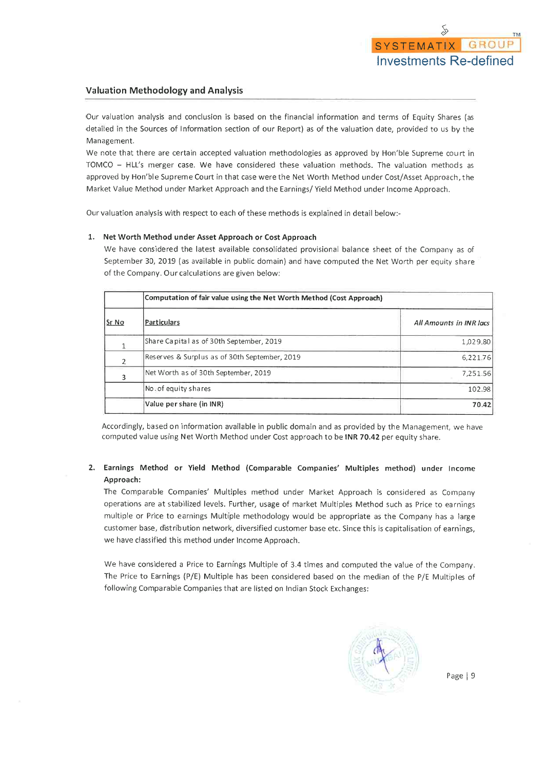### **Valuation Methodology and Analysis**

Our valuation analysis and conclusion is based on the financial information and terms of Equity Shares (as detailed in the Sources of Information section of our Report) as of the valuation date, provided to us by the Management.

We note that there are certain accepted valuation methodologies as approved by Hon'ble Supreme court in TOMCO - HLL's merger case. We have considered these valuation methods. The valuation methods as approved by Hon'ble Supreme Court in that case were the Net Worth Method under Cost/Asset Approach, the Market Value Method under Market Approach and the Earnings/ Yield Method under Income Approach.

Our valuation analysis with respect to each of these methods is explained in detail below:-

#### 1. Net Worth Method under Asset Approach or Cost Approach

We have considered the latest available consolidated provisional balance sheet of the Company as of September 30, 2019 (as available in public domain) and have computed the Net Worth per equity share of the Company. Our calculations are given below:

|       | Computation of fair value using the Net Worth Method (Cost Approach) |                         |  |  |  |  |  |  |  |
|-------|----------------------------------------------------------------------|-------------------------|--|--|--|--|--|--|--|
| Sr No | Particulars                                                          | All Amounts in INR lacs |  |  |  |  |  |  |  |
|       | Share Capital as of 30th September, 2019                             | 1,029.80                |  |  |  |  |  |  |  |
| 2     | Reserves & Surplus as of 30th September, 2019                        | 6,221.76                |  |  |  |  |  |  |  |
|       | Net Worth as of 30th September, 2019                                 | 7,251.56                |  |  |  |  |  |  |  |
|       | No. of equity shares                                                 | 102.98                  |  |  |  |  |  |  |  |
|       | Value per share (in INR)                                             | 70.42                   |  |  |  |  |  |  |  |

Accordingly, based on information available in public domain and as provided by the Management, we have computed value using Net Worth Method under Cost approach to be INR 70.42 per equity share.

### 2. Earnings Method or Yield Method (Comparable Companies' Multiples method) under Income Approach:

The Comparable Companies' Multiples method under Market Approach is considered as Company operations are at stabilized levels. Further, usage of market Multiples Method such as Price to earnings multiple or Price to earnings Multiple methodology would be appropriate as the Company has a large customer base, distribution network, diversified customer base etc. Since this is capitalisation of earnings, we have classified this method under Income Approach.

We have considered a Price to Earnings Multiple of 3.4 times and computed the value of the Company. The Price to Earnings (P/E) Multiple has been considered based on the median of the P/E Multiples of following Comparable Companies that are listed on Indian Stock Exchanges:

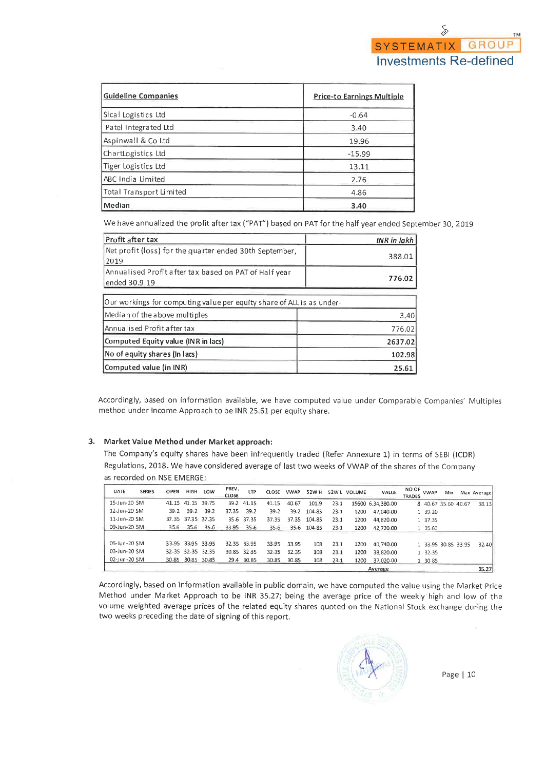| <b>Guideline Companies</b> | <b>Price-to Earnings Multiple</b> |
|----------------------------|-----------------------------------|
| Sical Logistics Ltd        | $-0.64$                           |
| Patel Integrated Ltd       | 3.40                              |
| Aspinwall & Co Ltd         | 19.96                             |
| ChartLogistics Ltd         | $-15.99$                          |
| Tiger Logistics Ltd        | 13.11                             |
| ABC India Limited          | 2.76                              |
| Total Transport Limited    | 4.86                              |
| Median                     | 3.40                              |

We have annualized the profit after tax ("PAT") based on PAT for the half year ended September 30, 2019

| Profit after tax                                                       | <b>INR</b> in lakh |
|------------------------------------------------------------------------|--------------------|
| Net profit (loss) for the quarter ended 30th September,<br>2019        | 388.01             |
| Annualised Profit after tax based on PAT of Half year<br>ended 30.9.19 | 776.02             |
| Our workings for computing value per equity share of ALL is as under-  |                    |
| Median of the above multiples                                          | 3,40               |
| Annualised Profit after tax                                            | 776.02             |
| Computed Equity value (INR in lacs)                                    | 2637.02            |
| No of equity shares (In lacs)                                          | 102.98             |
| Computed value (in INR)                                                | 25.61              |

Accordingly, based on information available, we have computed value under Comparable Companies' Multiples method under Income Approach to be INR 25.61 per equity share.

### 3. Market Value Method under Market approach:

The Company's equity shares have been infrequently traded (Refer Annexure 1) in terms of SEBI (ICDR) Regulations, 2018. We have considered average of last two weeks of VWAP of the shares of the Company as recorded on NSE EMERGE:

| DATE         | <b>SERIES</b> | <b>OPEN</b> | <b>HIGH</b>       | LOW               | PREV.<br>CLOSE | <b>LTP</b>  | <b>CLOSE</b> | <b>VWAP</b> | 52W H       |      | 52W L VOLUME | VALUE             | NO OF<br>TRADES | <b>VWAP</b>         | Min | Max Average |
|--------------|---------------|-------------|-------------------|-------------------|----------------|-------------|--------------|-------------|-------------|------|--------------|-------------------|-----------------|---------------------|-----|-------------|
| 15-Jun-20 SM |               |             | 41.15 41.15       | 39.75             |                | 39.2 41.15  | 41.15        | 40.67       | 101.9       | 23.1 |              | 15600 6,34,380.00 |                 | 8 40.67 35.60 40.67 |     | 38.13       |
| 12-Jun-20 SM |               | 39.2        | 39.2              | 39.2              | 37.35          | 39.2        | 39.2         | 39.2        | 104.85      | 23.1 | 1200         | 47.040.00         |                 | 1 39 20             |     |             |
| 11-Jun-20 SM |               |             | 37.35 37.35       | 37.35             | 35.6           | 37.35       | 37.35        | 37.35       | 104.85      | 23.1 | 1200         | 44,820.00         |                 | 1 37 35             |     |             |
| 09-Jun-20 SM |               | 35.6        | 35.6              | 35.6              | 33.95          | 35.6        | 35.6         |             | 35.6 104.85 | 23.1 | 1200         | 42,720.00         |                 | 1 35 60             |     |             |
| 05-Jun-20 SM |               |             |                   | 33.95 33.95 33.95 |                | 32.35 33.95 | 33.95        | 33.95       | 108         | 23.1 | 1200         | 40.740.00         |                 | 1 33.95 30.85 33.95 |     | 32.40       |
| 03-Jun-20 SM |               |             | 32.35 32.35       | 32.35             |                | 30.85 32.35 | 32.35        | 32.35       | 108         | 23.1 | 1200         | 38.820.00         |                 | 1 32 35             |     |             |
| 02-Jun-20 SM |               |             | 30-85 30-85 30-85 |                   |                | 29.4 30.85  | 30.85        | 30.85       | 108         | 23.1 | 1200         | 37,020.00         |                 | 1 30 85             |     |             |
|              |               |             |                   |                   |                |             |              |             |             |      |              | Average           |                 |                     |     | 35.27       |

Accordingly, based on information available in public domain, we have computed the value using the Market Price Method under Market Approach to be INR 35.27; being the average price of the weekly high and low of the volume weighted average prices of the related equity shares quoted on the National Stock exchange during the two weeks preceding the date of signing of this report.

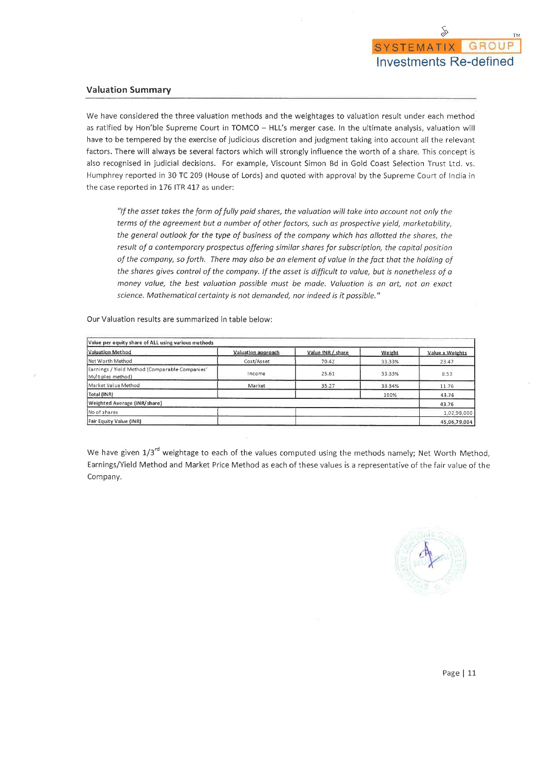

#### **Valuation Summary**

We have considered the three valuation methods and the weightages to valuation result under each method as ratified by Hon'ble Supreme Court in TOMCO - HLL's merger case. In the ultimate analysis, valuation will have to be tempered by the exercise of judicious discretion and judgment taking into account all the relevant factors. There will always be several factors which will strongly influence the worth of a share. This concept is also recognised in judicial decisions. For example, Viscount Simon Bd in Gold Coast Selection Trust Ltd. vs. Humphrey reported in 30 TC 209 (House of Lords) and quoted with approval by the Supreme Court of India in the case reported in 176 ITR 417 as under:

"If the asset takes the form of fully paid shares, the valuation will take into account not only the terms of the agreement but a number of other factors, such as prospective yield, marketability, the general outlook for the type of business of the company which has allotted the shares, the result of a contemporary prospectus offering similar shares for subscription, the capital position of the company, so forth. There may also be an element of value in the fact that the holding of the shares gives control of the company. If the asset is difficult to value, but is nonetheless of a money value, the best valuation possible must be made. Valuation is an art, not an exact science. Mathematical certainty is not demanded, nor indeed is it possible."

Our Valuation results are summarized in table below:

| Value per equity share of ALL using various methods                 |                    |                   |        |                 |
|---------------------------------------------------------------------|--------------------|-------------------|--------|-----------------|
| Valuation Method                                                    | Valuation approach | Value INR / share | Weight | Value x Weights |
| Net Worth Method                                                    | Cost/Asset         | 70.42             | 33.33% | 23.47           |
| Earnings / Yield Method (Comparable Companies'<br>Multiples method) | Income             | 25.61             | 33.33% | 8.53            |
| Market Value Method                                                 | <b>Market</b>      | 35.27             | 33.34% | 11.76           |
| Total (INR)                                                         |                    |                   | 100%   | 43.76           |
| Weighted Average (INR/share)                                        |                    |                   |        | 43.76           |
| No of shares                                                        |                    |                   |        | 1,02,98,000     |
| Fair Equity Value (INR)                                             |                    |                   |        | 45,06,79,004    |

We have given 1/3<sup>rd</sup> weightage to each of the values computed using the methods namely; Net Worth Method, Earnings/Yield Method and Market Price Method as each of these values is a representative of the fair value of the Company.

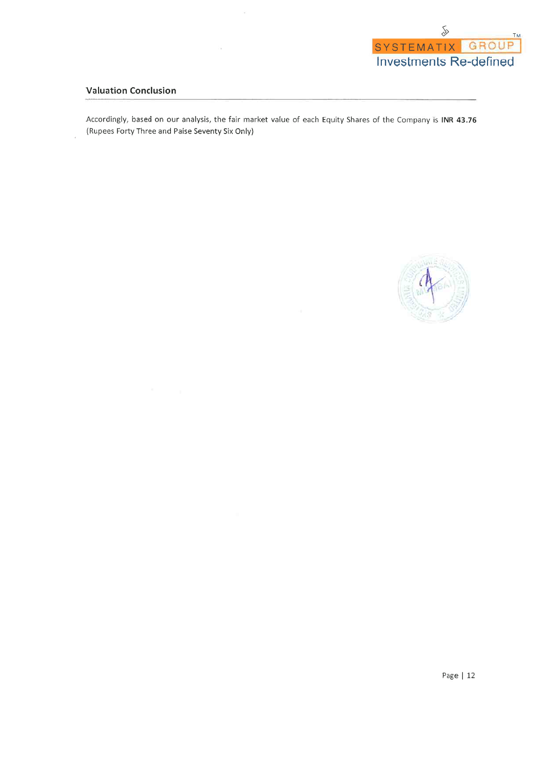

## **Valuation Conclusion**

Accordingly, based on our analysis, the fair market value of each Equity Shares of the Company is INR 43.76 (Rupees Forty Three and Paise Seventy Six Only)

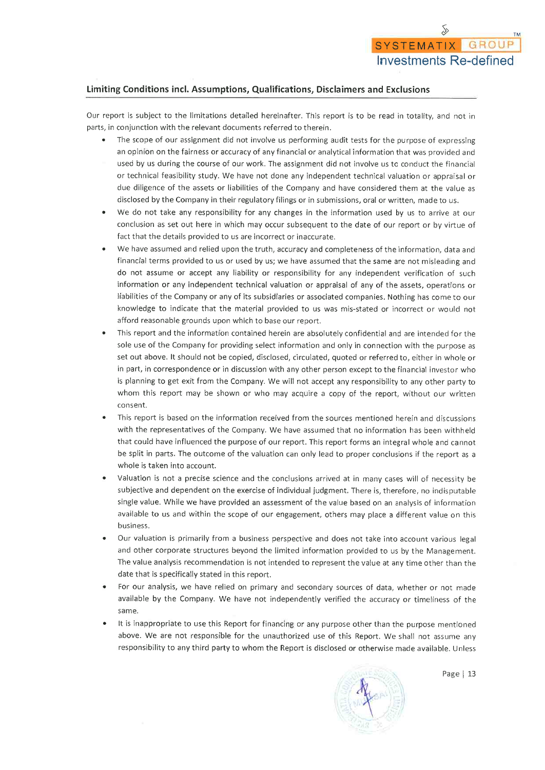## Limiting Conditions incl. Assumptions, Qualifications, Disclaimers and Exclusions

Our report is subject to the limitations detailed hereinafter. This report is to be read in totality, and not in parts, in conjunction with the relevant documents referred to therein.

- The scope of our assignment did not involve us performing audit tests for the purpose of expressing  $\bullet$ an opinion on the fairness or accuracy of any financial or analytical information that was provided and used by us during the course of our work. The assignment did not involve us to conduct the financial or technical feasibility study. We have not done any independent technical valuation or appraisal or due diligence of the assets or liabilities of the Company and have considered them at the value as disclosed by the Company in their regulatory filings or in submissions, oral or written, made to us.
- We do not take any responsibility for any changes in the information used by us to arrive at our conclusion as set out here in which may occur subsequent to the date of our report or by virtue of fact that the details provided to us are incorrect or inaccurate.
- We have assumed and relied upon the truth, accuracy and completeness of the information, data and financial terms provided to us or used by us; we have assumed that the same are not misleading and do not assume or accept any liability or responsibility for any independent verification of such information or any independent technical valuation or appraisal of any of the assets, operations or liabilities of the Company or any of its subsidiaries or associated companies. Nothing has come to our knowledge to indicate that the material provided to us was mis-stated or incorrect or would not afford reasonable grounds upon which to base our report.
- This report and the information contained herein are absolutely confidential and are intended for the sole use of the Company for providing select information and only in connection with the purpose as set out above. It should not be copied, disclosed, circulated, quoted or referred to, either in whole or in part, in correspondence or in discussion with any other person except to the financial investor who is planning to get exit from the Company. We will not accept any responsibility to any other party to whom this report may be shown or who may acquire a copy of the report, without our written consent.
- This report is based on the information received from the sources mentioned herein and discussions with the representatives of the Company. We have assumed that no information has been withheld that could have influenced the purpose of our report. This report forms an integral whole and cannot be split in parts. The outcome of the valuation can only lead to proper conclusions if the report as a whole is taken into account.
- Valuation is not a precise science and the conclusions arrived at in many cases will of necessity be subjective and dependent on the exercise of individual judgment. There is, therefore, no indisputable single value. While we have provided an assessment of the value based on an analysis of information available to us and within the scope of our engagement, others may place a different value on this business.
- Our valuation is primarily from a business perspective and does not take into account various legal and other corporate structures beyond the limited information provided to us by the Management. The value analysis recommendation is not intended to represent the value at any time other than the date that is specifically stated in this report.
- For our analysis, we have relied on primary and secondary sources of data, whether or not made available by the Company. We have not independently verified the accuracy or timeliness of the same.
- It is inappropriate to use this Report for financing or any purpose other than the purpose mentioned above. We are not responsible for the unauthorized use of this Report. We shall not assume any responsibility to any third party to whom the Report is disclosed or otherwise made available. Unless

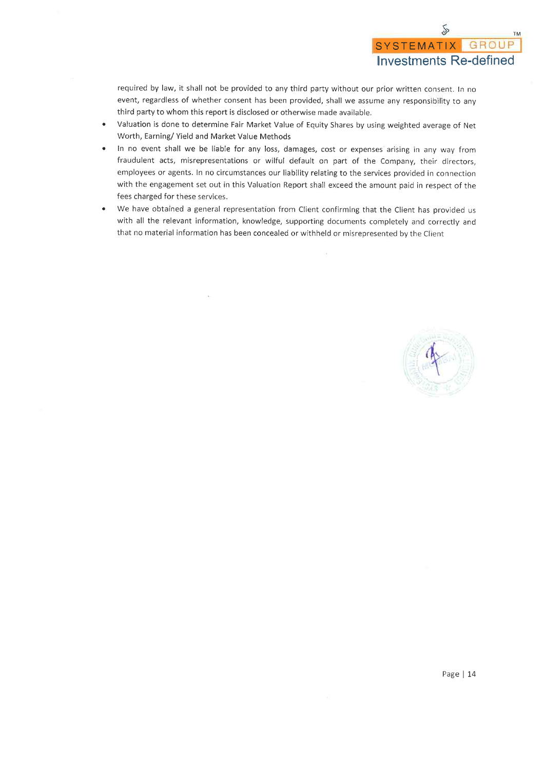required by law, it shall not be provided to any third party without our prior written consent. In no event, regardless of whether consent has been provided, shall we assume any responsibility to any third party to whom this report is disclosed or otherwise made available.

- Valuation is done to determine Fair Market Value of Equity Shares by using weighted average of Net Worth, Earning/ Yield and Market Value Methods
- In no event shall we be liable for any loss, damages, cost or expenses arising in any way from fraudulent acts, misrepresentations or wilful default on part of the Company, their directors, employees or agents. In no circumstances our liability relating to the services provided in connection with the engagement set out in this Valuation Report shall exceed the amount paid in respect of the fees charged for these services.
- We have obtained a general representation from Client confirming that the Client has provided us with all the relevant information, knowledge, supporting documents completely and correctly and that no material information has been concealed or withheld or misrepresented by the Client

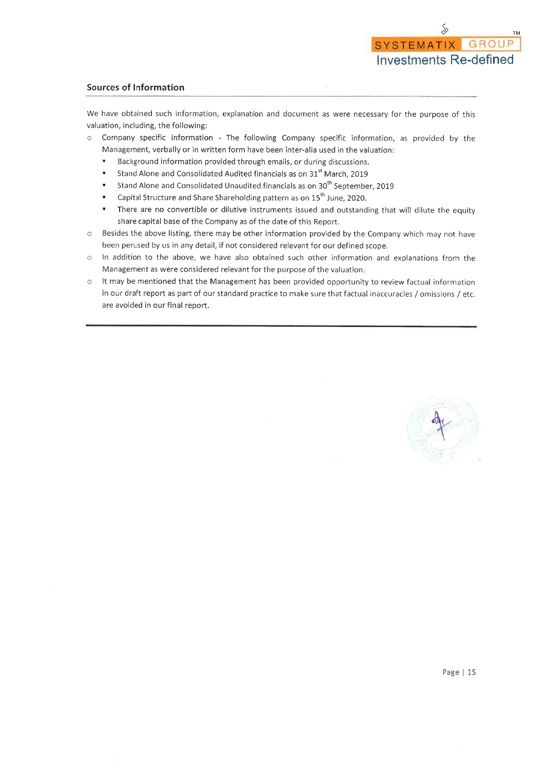#### **Sources of Information**

We have obtained such information, explanation and document as were necessary for the purpose of this valuation, including, the following:

- Company specific information The following Company specific information, as provided by the  $\circ$ Management, verbally or in written form have been inter-alia used in the valuation:
	- $\blacksquare$ Background information provided through emails, or during discussions.
	- Stand Alone and Consolidated Audited financials as on 31<sup>st</sup> March, 2019  $\blacksquare$
	- Stand Alone and Consolidated Unaudited financials as on 30<sup>th</sup> September, 2019  $\blacksquare$
	- Capital Structure and Share Shareholding pattern as on 15<sup>th</sup> June, 2020.  $\blacksquare$
	- There are no convertible or dilutive instruments issued and outstanding that will dilute the equity  $\blacksquare$ share capital base of the Company as of the date of this Report.
- Besides the above listing, there may be other information provided by the Company which may not have  $\circ$ been perused by us in any detail, if not considered relevant for our defined scope.
- In addition to the above, we have also obtained such other information and explanations from the  $\circ$ Management as were considered relevant for the purpose of the valuation.
- $\circ$ It may be mentioned that the Management has been provided opportunity to review factual information in our draft report as part of our standard practice to make sure that factual inaccuracies / omissions / etc. are avoided in our final report.

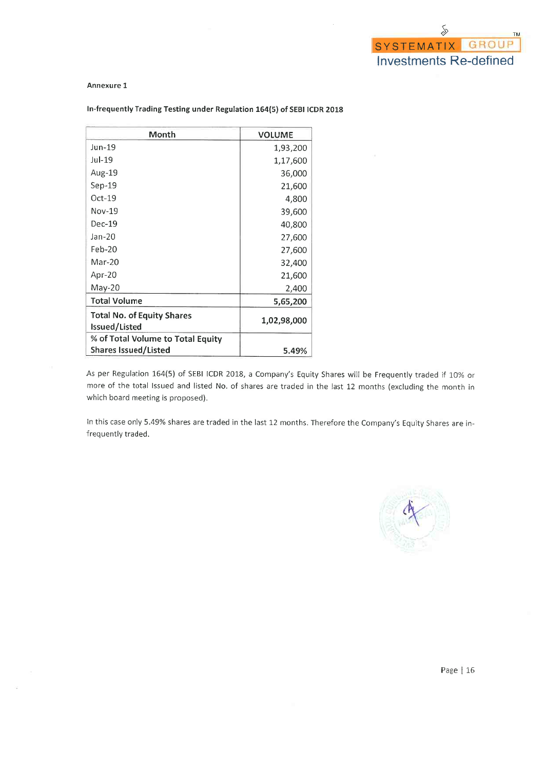#### Annexure 1

| Month                                              | <b>VOLUME</b> |
|----------------------------------------------------|---------------|
| Jun-19                                             | 1,93,200      |
| Jul-19                                             | 1,17,600      |
| Aug-19                                             | 36,000        |
| $Sep-19$                                           | 21,600        |
| $Oct-19$                                           | 4,800         |
| $Nov-19$                                           | 39,600        |
| $Dec-19$                                           | 40,800        |
| Jan-20                                             | 27,600        |
| $Feb-20$                                           | 27,600        |
| $Mar-20$                                           | 32,400        |
| Apr-20                                             | 21,600        |
| May-20                                             | 2,400         |
| <b>Total Volume</b>                                | 5,65,200      |
| <b>Total No. of Equity Shares</b><br>Issued/Listed | 1,02,98,000   |
| % of Total Volume to Total Equity                  |               |
| <b>Shares Issued/Listed</b>                        | 5.49%         |

#### In-frequently Trading Testing under Regulation 164(5) of SEBI ICDR 2018

As per Regulation 164(5) of SEBI ICDR 2018, a Company's Equity Shares will be Frequently traded if 10% or more of the total Issued and listed No. of shares are traded in the last 12 months (excluding the month in which board meeting is proposed).

In this case only 5.49% shares are traded in the last 12 months. Therefore the Company's Equity Shares are infrequently traded.